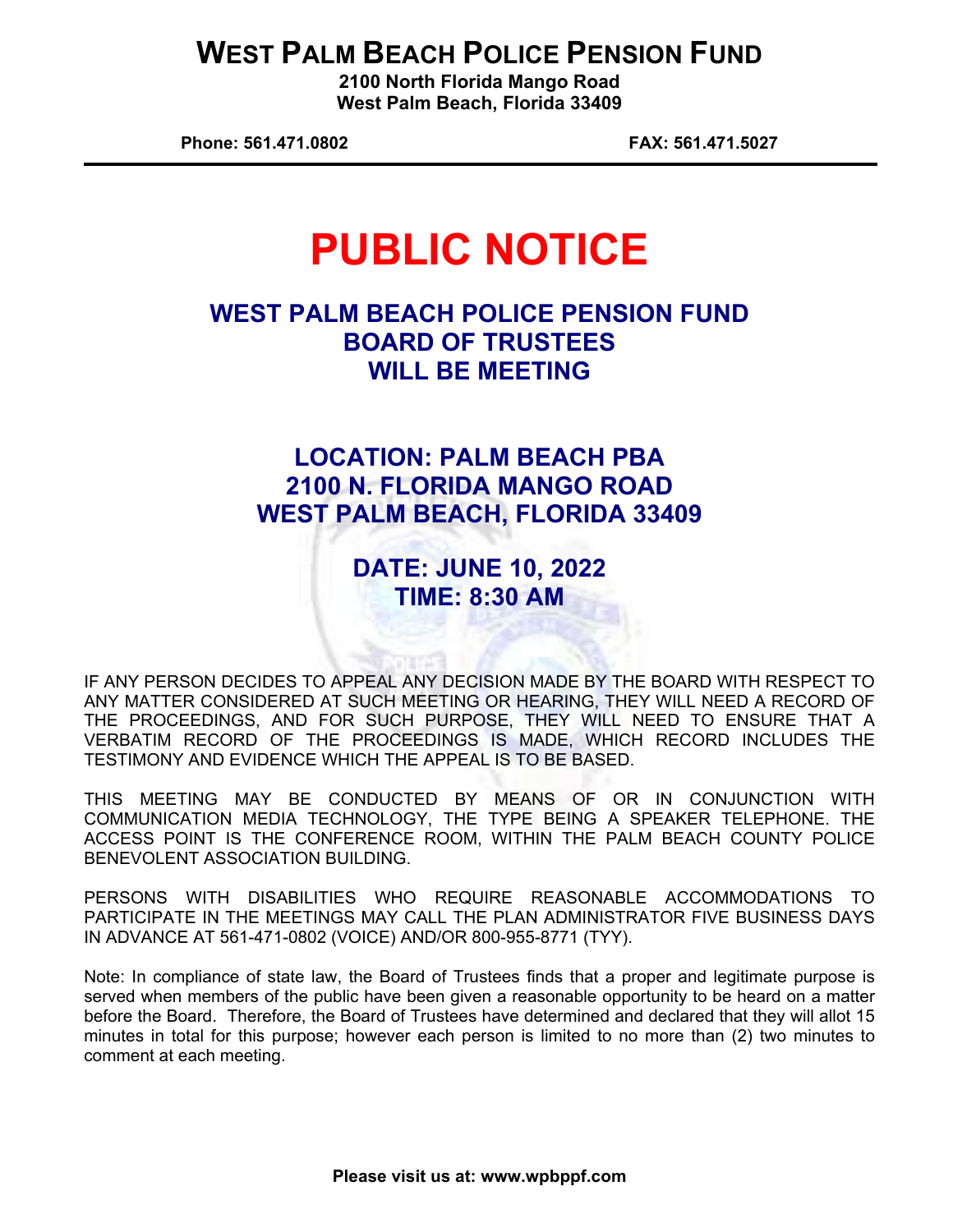## **WEST PALM BEACH POLICE PENSION FUND**

**2100 North Florida Mango Road West Palm Beach, Florida 33409** 

**Phone: 561.471.0802 FAX: 561.471.5027** 

# **PUBLIC NOTICE**

## **WEST PALM BEACH POLICE PENSION FUND BOARD OF TRUSTEES WILL BE MEETING**

## **LOCATION: PALM BEACH PBA 2100 N. FLORIDA MANGO ROAD WEST PALM BEACH, FLORIDA 33409**

## **DATE: JUNE 10, 2022 TIME: 8:30 AM**

IF ANY PERSON DECIDES TO APPEAL ANY DECISION MADE BY THE BOARD WITH RESPECT TO ANY MATTER CONSIDERED AT SUCH MEETING OR HEARING, THEY WILL NEED A RECORD OF THE PROCEEDINGS, AND FOR SUCH PURPOSE, THEY WILL NEED TO ENSURE THAT A VERBATIM RECORD OF THE PROCEEDINGS IS MADE, WHICH RECORD INCLUDES THE TESTIMONY AND EVIDENCE WHICH THE APPEAL IS TO BE BASED.

THIS MEETING MAY BE CONDUCTED BY MEANS OF OR IN CONJUNCTION WITH COMMUNICATION MEDIA TECHNOLOGY, THE TYPE BEING A SPEAKER TELEPHONE. THE ACCESS POINT IS THE CONFERENCE ROOM, WITHIN THE PALM BEACH COUNTY POLICE BENEVOLENT ASSOCIATION BUILDING.

PERSONS WITH DISABILITIES WHO REQUIRE REASONABLE ACCOMMODATIONS TO PARTICIPATE IN THE MEETINGS MAY CALL THE PLAN ADMINISTRATOR FIVE BUSINESS DAYS IN ADVANCE AT 561-471-0802 (VOICE) AND/OR 800-955-8771 (TYY).

Note: In compliance of state law, the Board of Trustees finds that a proper and legitimate purpose is served when members of the public have been given a reasonable opportunity to be heard on a matter before the Board. Therefore, the Board of Trustees have determined and declared that they will allot 15 minutes in total for this purpose; however each person is limited to no more than (2) two minutes to comment at each meeting.